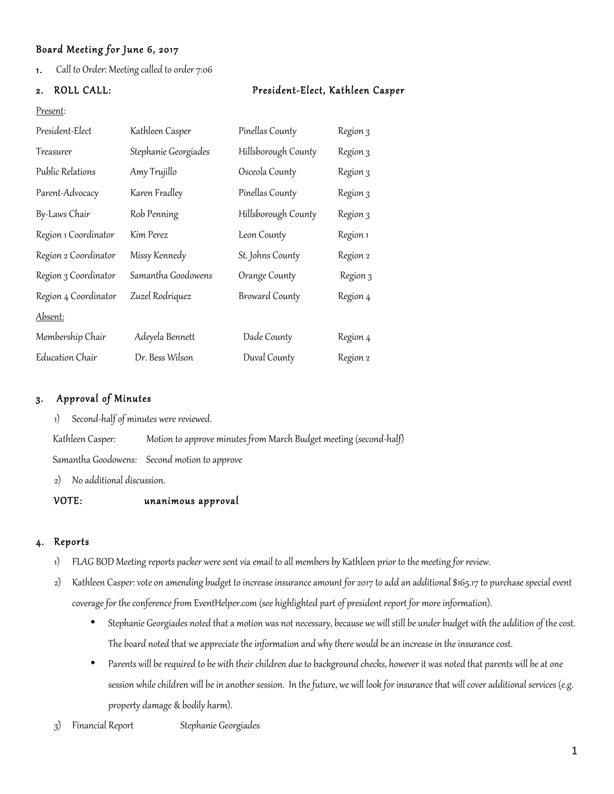## Board Meeting for June 6, 2017

1. Call to Order: Meeting called to order 7:06

## 2. ROLL CALL: President-Elect, Kathleen Casper

#### Present:

| President-Elect      | Kathleen Casper      | Pinellas County       | Region 3 |
|----------------------|----------------------|-----------------------|----------|
| Treasurer            | Stephanie Georgiades | Hillsborough County   | Region 3 |
| Public Relations     | Amy Trujillo         | Osceola County        | Region 3 |
| Parent-Advocacy      | Karen Fradley        | Pinellas County       | Region 3 |
| By-Laws Chair        | Rob Penning          | Hillsborough County   | Region 3 |
| Region 1 Coordinator | Kim Perez            | Leon County           | Region 1 |
| Region 2 Coordinator | Missy Kennedy        | St. Johns County      | Region 2 |
| Region 3 Coordinator | Samantha Goodowens   | Orange County         | Region 3 |
| Region 4 Coordinator | Zuzel Rodriquez      | <b>Broward County</b> | Region 4 |
| Absent:              |                      |                       |          |
| Membership Chair     | Adeyela Bennett      | Dade County           | Region 4 |
| Education Chair      | Dr. Bess Wilson      | Duval County          | Region 2 |

## 3. Approval of Minutes

1) Second-half of minutes were reviewed.

Kathleen Casper: Motion to approve minutes from March Budget meeting (second-half)

Samantha Goodowens: Second motion to approve

2) No additional discussion.

### VOTE: unanimous approval

### 4. Reports

- 1) FLAG BOD Meeting reports packer were sent via email to all members by Kathleen prior to the meeting for review.
- 2) Kathleen Casper: vote on amending budget to increase insurance amount for 2017 to add an additional \$165.17 to purchase special event coverage for the conference from EventHelper.com (see highlighted part of president report for more information).
	- Stephanie Georgiades noted that a motion was not necessary, because we will still be under budget with the addition of the cost. The board noted that we appreciate the information and why there would be an increase in the insurance cost.
	- Parents will be required to be with their children due to background checks, however it was noted that parents will be at one session while children will be in another session. In the future, we will look for insurance that will cover additional services (e.g. property damage & bodily harm).
- 3) Financial Report Stephanie Georgiades